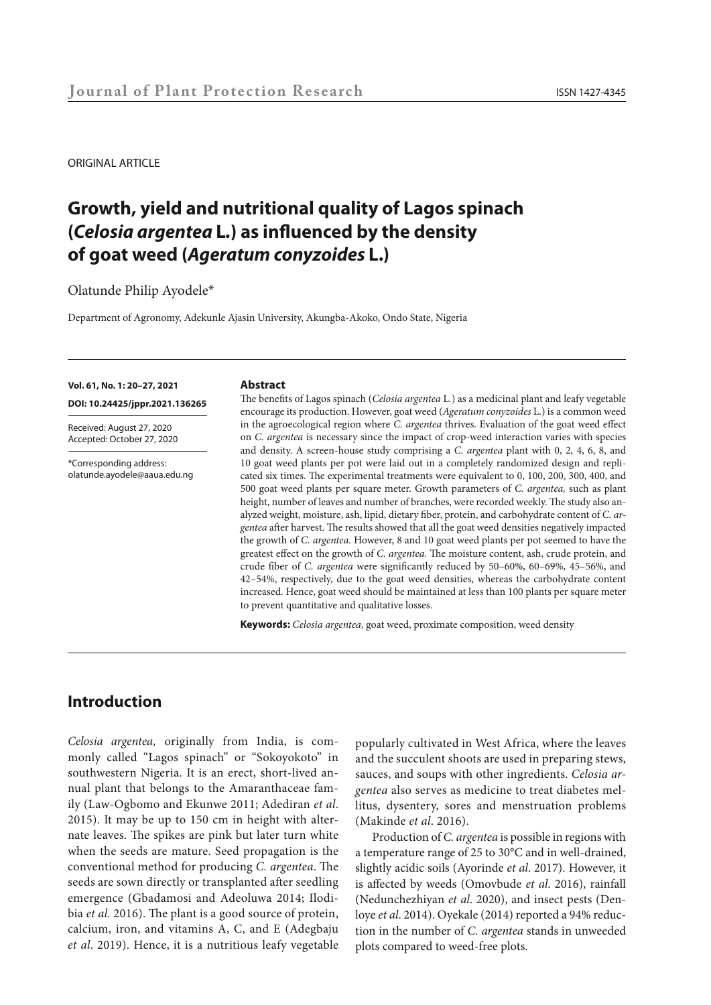#### ORIGINAL ARTICLE

# **Growth, yield and nutritional quality of Lagos spinach (***Celosia argentea* **L***.***) as influenced by the density of goat weed (***Ageratum conyzoides* **L.)**

Olatunde Philip Ayodele\*

Department of Agronomy, Adekunle Ajasin University, Akungba-Akoko, Ondo State, Nigeria

**Vol. 61, No. 1: 20–27, 2021** 

**DOI: 10.24425/jppr.2021.136265**

Received: August 27, 2020 Accepted: October 27, 2020

\*Corresponding address: olatunde.ayodele@aaua.edu.ng

#### **Abstract**

The benefits of Lagos spinach (*Celosia argentea* L*.*) as a medicinal plant and leafy vegetable encourage its production. However, goat weed (*Ageratum conyzoides* L.) is a common weed in the agroecological region where *C. argentea* thrives. Evaluation of the goat weed effect on *C. argentea* is necessary since the impact of crop-weed interaction varies with species and density. A screen-house study comprising a *C. argentea* plant with 0, 2, 4, 6, 8, and 10 goat weed plants per pot were laid out in a completely randomized design and replicated six times. The experimental treatments were equivalent to 0, 100, 200, 300, 400, and 500 goat weed plants per square meter. Growth parameters of *C. argentea,* such as plant height, number of leaves and number of branches, were recorded weekly. The study also analyzed weight, moisture, ash, lipid, dietary fiber, protein, and carbohydrate content of *C. argentea* after harvest. The results showed that all the goat weed densities negatively impacted the growth of *C. argentea.* However, 8 and 10 goat weed plants per pot seemed to have the greatest effect on the growth of *C. argentea*. The moisture content, ash, crude protein, and crude fiber of *C. argentea* were significantly reduced by 50–60%, 60–69%, 45–56%, and 42–54%, respectively, due to the goat weed densities, whereas the carbohydrate content increased. Hence, goat weed should be maintained at less than 100 plants per square meter to prevent quantitative and qualitative losses.

**Keywords:** *Celosia argentea*, goat weed, proximate composition, weed density

# **Introduction**

*Celosia argentea,* originally from India, is commonly called "Lagos spinach" or "Sokoyokoto" in southwestern Nigeria. It is an erect, short-lived annual plant that belongs to the Amaranthaceae family (Law-Ogbomo and Ekunwe 2011; Adediran *et al*. 2015). It may be up to 150 cm in height with alternate leaves. The spikes are pink but later turn white when the seeds are mature. Seed propagation is the conventional method for producing *C. argentea*. The seeds are sown directly or transplanted after seedling emergence (Gbadamosi and Adeoluwa 2014; Ilodibia *et al.* 2016). The plant is a good source of protein, calcium, iron, and vitamins A, C, and E (Adegbaju *et al*. 2019). Hence, it is a nutritious leafy vegetable

popularly cultivated in West Africa, where the leaves and the succulent shoots are used in preparing stews, sauces, and soups with other ingredients. *Celosia argentea* also serves as medicine to treat diabetes mellitus, dysentery, sores and menstruation problems (Makinde *et al*. 2016).

Production of *C. argentea* is possible in regions with a temperature range of 25 to 30°C and in well-drained, slightly acidic soils (Ayorinde *et al*. 2017). However, it is affected by weeds (Omovbude *et al*. 2016), rainfall (Nedunchezhiyan *et al*. 2020), and insect pests (Denloye *et al*. 2014). Oyekale (2014) reported a 94% reduction in the number of *C. argentea* stands in unweeded plots compared to weed-free plots.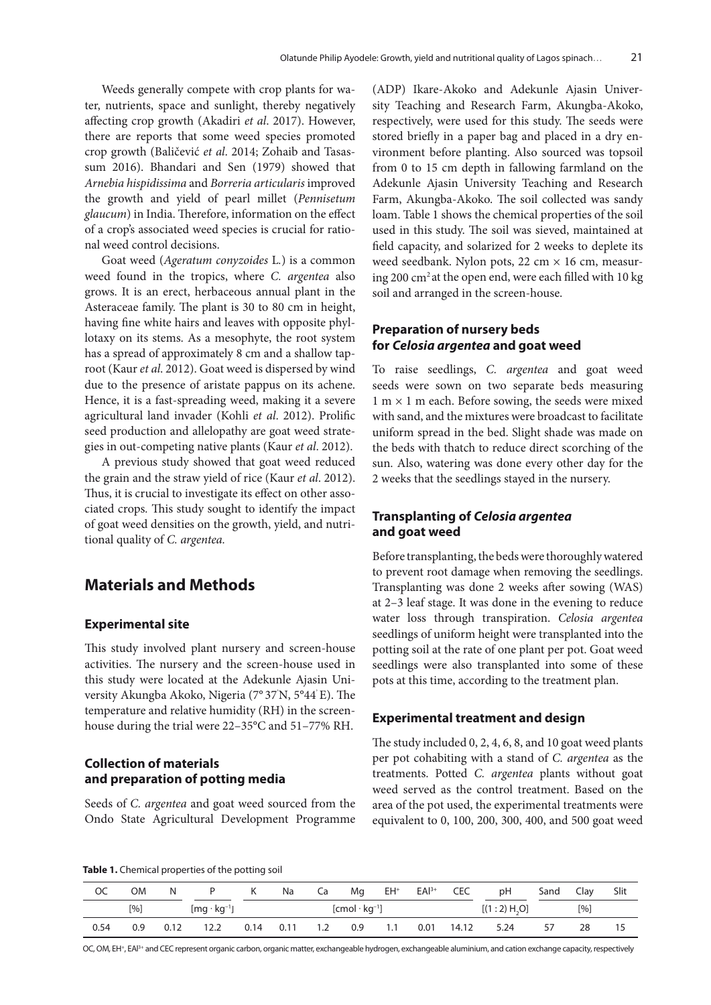Weeds generally compete with crop plants for water, nutrients, space and sunlight, thereby negatively affecting crop growth (Akadiri *et al*. 2017). However, there are reports that some weed species promoted crop growth (Baličević *et al*. 2014; Zohaib and Tasassum 2016). Bhandari and Sen (1979) showed that *Arnebia hispidissima* and *Borreria articularis* improved the growth and yield of pearl millet (*Pennisetum glaucum*) in India. Therefore, information on the effect of a crop's associated weed species is crucial for rational weed control decisions.

Goat weed (*Ageratum conyzoides* L*.*) is a common weed found in the tropics, where *C. argentea* also grows. It is an erect, herbaceous annual plant in the Asteraceae family. The plant is 30 to 80 cm in height, having fine white hairs and leaves with opposite phyllotaxy on its stems. As a mesophyte, the root system has a spread of approximately 8 cm and a shallow taproot (Kaur *et al*. 2012). Goat weed is dispersed by wind due to the presence of aristate pappus on its achene. Hence, it is a fast-spreading weed, making it a severe agricultural land invader (Kohli *et al*. 2012). Prolific seed production and allelopathy are goat weed strategies in out-competing native plants (Kaur *et al*. 2012).

A previous study showed that goat weed reduced the grain and the straw yield of rice (Kaur *et al*. 2012). Thus, it is crucial to investigate its effect on other associated crops*.* This study sought to identify the impact of goat weed densities on the growth, yield, and nutritional quality of *C. argentea.* 

# **Materials and Methods**

#### **Experimental site**

This study involved plant nursery and screen-house activities. The nursery and the screen-house used in this study were located at the Adekunle Ajasin University Akungba Akoko, Nigeria (7° 37' N, 5°44' E). The temperature and relative humidity (RH) in the screenhouse during the trial were 22–35°C and 51–77% RH.

### **Collection of materials and preparation of potting media**

Seeds of *C. argentea* and goat weed sourced from the Ondo State Agricultural Development Programme (ADP) Ikare-Akoko and Adekunle Ajasin University Teaching and Research Farm, Akungba-Akoko, respectively, were used for this study. The seeds were stored briefly in a paper bag and placed in a dry environment before planting. Also sourced was topsoil from 0 to 15 cm depth in fallowing farmland on the Adekunle Ajasin University Teaching and Research Farm, Akungba-Akoko. The soil collected was sandy loam. Table 1 shows the chemical properties of the soil used in this study. The soil was sieved, maintained at field capacity, and solarized for 2 weeks to deplete its weed seedbank. Nylon pots, 22 cm  $\times$  16 cm, measuring 200 cm<sup>2</sup> at the open end, were each filled with 10 kg soil and arranged in the screen-house.

### **Preparation of nursery beds for** *Celosia argentea* **and goat weed**

To raise seedlings, *C. argentea* and goat weed seeds were sown on two separate beds measuring  $1 m \times 1 m$  each. Before sowing, the seeds were mixed with sand, and the mixtures were broadcast to facilitate uniform spread in the bed. Slight shade was made on the beds with thatch to reduce direct scorching of the sun. Also, watering was done every other day for the 2 weeks that the seedlings stayed in the nursery.

### **Transplanting of** *Celosia argentea* **and goat weed**

Before transplanting, the beds were thoroughly watered to prevent root damage when removing the seedlings. Transplanting was done 2 weeks after sowing (WAS) at 2–3 leaf stage. It was done in the evening to reduce water loss through transpiration. *Celosia argentea* seedlings of uniform height were transplanted into the potting soil at the rate of one plant per pot. Goat weed seedlings were also transplanted into some of these pots at this time, according to the treatment plan.

#### **Experimental treatment and design**

The study included 0, 2, 4, 6, 8, and 10 goat weed plants per pot cohabiting with a stand of *C. argentea* as the treatments. Potted *C. argentea* plants without goat weed served as the control treatment. Based on the area of the pot used, the experimental treatments were equivalent to 0, 100, 200, 300, 400, and 500 goat weed

**Table 1.** Chemical properties of the potting soil

| <b>OC</b> | <b>OM</b> | N                                                        |      | K.   | Na   | Ca  | Mq  | EH <sup>+</sup> | $EAl^{3+}$ | CEC   | pH           | Sand | Clay | Slit |
|-----------|-----------|----------------------------------------------------------|------|------|------|-----|-----|-----------------|------------|-------|--------------|------|------|------|
|           | [%]       | $[mq \cdot kq^{-1}]$<br>$[{\rm cmol}\cdot{\rm kg}^{-1}]$ |      |      |      |     |     |                 |            |       | [(1:2) H, O] |      | [%]  |      |
| 0.54      | 0.9       | 0.12                                                     | 12.2 | 0.14 | 0.11 | 1.2 | 0.9 | 1.1             | 0.01       | 14.12 | 5.24         | 57   | 28   |      |

OC, OM, EH<sup>+</sup>, EAl<sup>3+</sup> and CEC represent organic carbon, organic matter, exchangeable hydrogen, exchangeable aluminium, and cation exchange capacity, respectively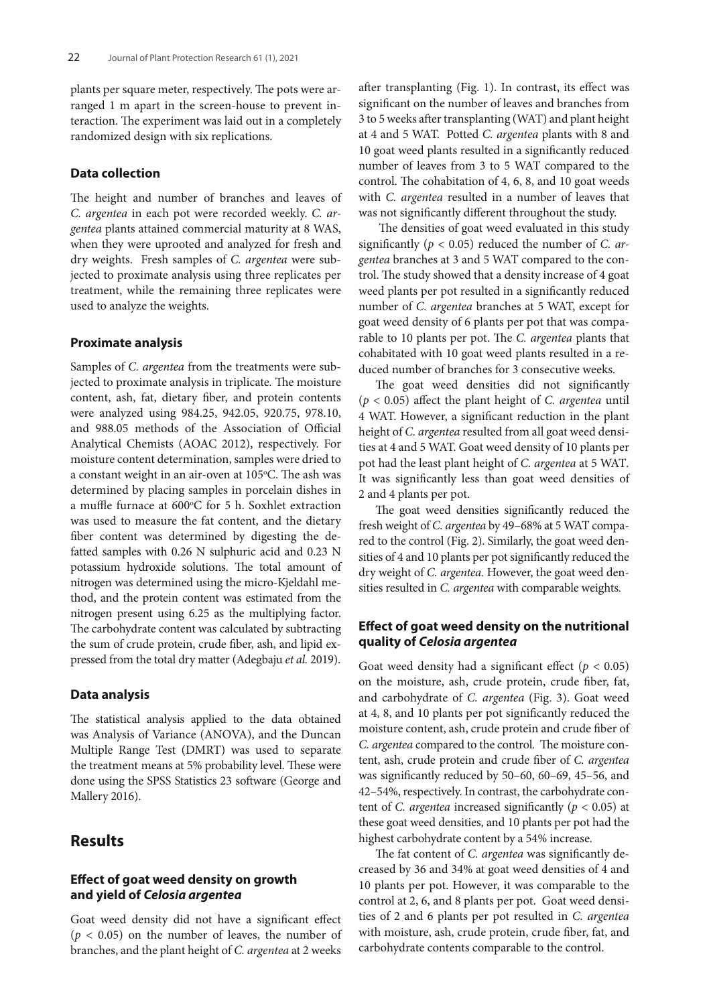plants per square meter, respectively. The pots were arranged 1 m apart in the screen-house to prevent interaction. The experiment was laid out in a completely randomized design with six replications.

### **Data collection**

The height and number of branches and leaves of *C. argentea* in each pot were recorded weekly. *C. argentea* plants attained commercial maturity at 8 WAS, when they were uprooted and analyzed for fresh and dry weights. Fresh samples of *C. argentea* were subjected to proximate analysis using three replicates per treatment, while the remaining three replicates were used to analyze the weights.

#### **Proximate analysis**

Samples of *C. argentea* from the treatments were subjected to proximate analysis in triplicate*.* The moisture content, ash, fat, dietary fiber, and protein contents were analyzed using 984.25, 942.05, 920.75, 978.10, and 988.05 methods of the Association of Official Analytical Chemists (AOAC 2012), respectively. For moisture content determination, samples were dried to a constant weight in an air-oven at 105°C. The ash was determined by placing samples in porcelain dishes in a muffle furnace at 600°C for 5 h. Soxhlet extraction was used to measure the fat content, and the dietary fiber content was determined by digesting the defatted samples with 0.26 N sulphuric acid and 0.23 N potassium hydroxide solutions. The total amount of nitrogen was determined using the micro-Kjeldahl method, and the protein content was estimated from the nitrogen present using 6.25 as the multiplying factor. The carbohydrate content was calculated by subtracting the sum of crude protein, crude fiber, ash, and lipid expressed from the total dry matter (Adegbaju *et al.* 2019).

### **Data analysis**

The statistical analysis applied to the data obtained was Analysis of Variance (ANOVA), and the Duncan Multiple Range Test (DMRT) was used to separate the treatment means at 5% probability level. These were done using the SPSS Statistics 23 software (George and Mallery 2016).

### **Results**

### **Effect of goat weed density on growth and yield of** *Celosia argentea*

Goat weed density did not have a significant effect  $(p < 0.05)$  on the number of leaves, the number of branches, and the plant height of *C. argentea* at 2 weeks

after transplanting (Fig. 1). In contrast, its effect was significant on the number of leaves and branches from 3 to 5 weeks after transplanting (WAT) and plant height at 4 and 5 WAT. Potted *C. argentea* plants with 8 and 10 goat weed plants resulted in a significantly reduced number of leaves from 3 to 5 WAT compared to the control. The cohabitation of 4, 6, 8, and 10 goat weeds with *C. argentea* resulted in a number of leaves that was not significantly different throughout the study.

 The densities of goat weed evaluated in this study significantly (*p* < 0.05) reduced the number of *C. argentea* branches at 3 and 5 WAT compared to the control. The study showed that a density increase of 4 goat weed plants per pot resulted in a significantly reduced number of *C. argentea* branches at 5 WAT, except for goat weed density of 6 plants per pot that was comparable to 10 plants per pot. The *C. argentea* plants that cohabitated with 10 goat weed plants resulted in a reduced number of branches for 3 consecutive weeks.

The goat weed densities did not significantly (*p* < 0.05) affect the plant height of *C. argentea* until 4 WAT. However, a significant reduction in the plant height of *C. argentea* resulted from all goat weed densities at 4 and 5 WAT. Goat weed density of 10 plants per pot had the least plant height of *C. argentea* at 5 WAT*.*  It was significantly less than goat weed densities of 2 and 4 plants per pot.

The goat weed densities significantly reduced the fresh weight of *C. argentea* by 49–68% at 5 WAT compared to the control (Fig. 2). Similarly, the goat weed densities of 4 and 10 plants per pot significantly reduced the dry weight of *C. argentea.* However, the goat weed densities resulted in *C. argentea* with comparable weights*.*

### **Effect of goat weed density on the nutritional quality of** *Celosia argentea*

Goat weed density had a significant effect ( $p < 0.05$ ) on the moisture, ash, crude protein, crude fiber, fat, and carbohydrate of *C. argentea* (Fig. 3). Goat weed at 4, 8, and 10 plants per pot significantly reduced the moisture content, ash, crude protein and crude fiber of *C. argentea* compared to the control*.* The moisture content, ash, crude protein and crude fiber of *C. argentea*  was significantly reduced by 50–60, 60–69, 45–56, and 42–54%, respectively. In contrast, the carbohydrate content of *C. argentea* increased significantly ( $p < 0.05$ ) at these goat weed densities, and 10 plants per pot had the highest carbohydrate content by a 54% increase.

The fat content of *C. argentea* was significantly decreased by 36 and 34% at goat weed densities of 4 and 10 plants per pot. However, it was comparable to the control at 2, 6, and 8 plants per pot. Goat weed densities of 2 and 6 plants per pot resulted in *C. argentea*  with moisture, ash, crude protein, crude fiber, fat, and carbohydrate contents comparable to the control.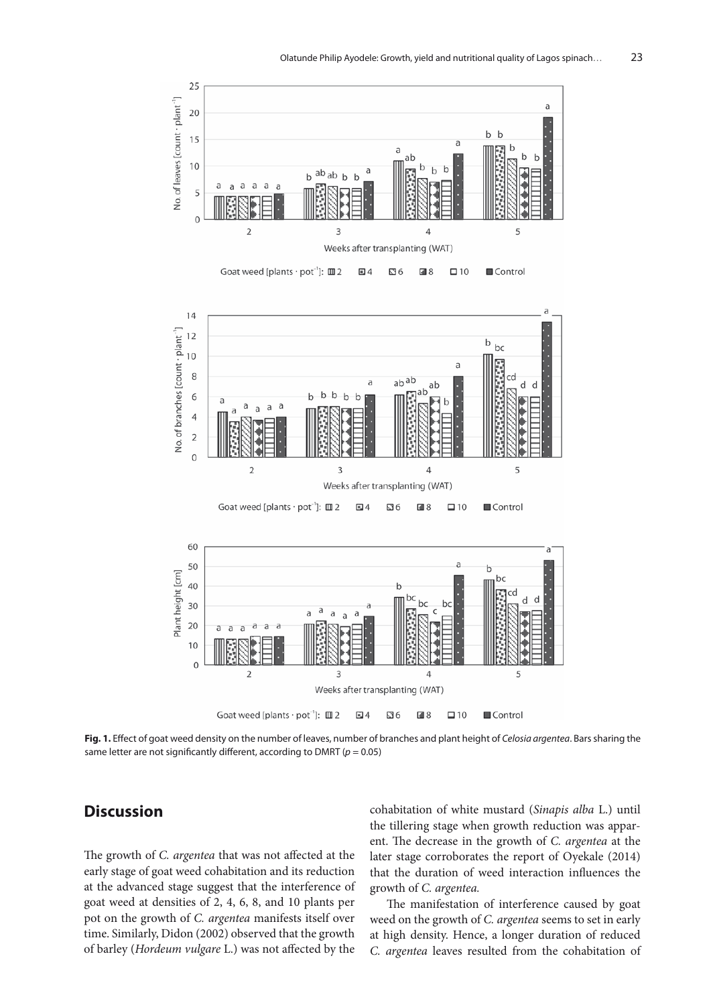

**Fig. 1.** Effect of goat weed density on the number of leaves, number of branches and plant height of *Celosia argentea*. Bars sharing the same letter are not significantly different, according to DMRT (*p* = 0.05)

# **Discussion**

The growth of *C. argentea* that was not affected at the early stage of goat weed cohabitation and its reduction at the advanced stage suggest that the interference of goat weed at densities of 2, 4, 6, 8, and 10 plants per pot on the growth of *C. argentea* manifests itself over time. Similarly, Didon (2002) observed that the growth of barley (*Hordeum vulgare* L.) was not affected by the

cohabitation of white mustard (*Sinapis alba* L.) until the tillering stage when growth reduction was apparent. The decrease in the growth of *C. argentea* at the later stage corroborates the report of Oyekale (2014) that the duration of weed interaction influences the growth of *C. argentea.* 

The manifestation of interference caused by goat weed on the growth of *C. argentea* seems to set in early at high density. Hence, a longer duration of reduced *C. argentea* leaves resulted from the cohabitation of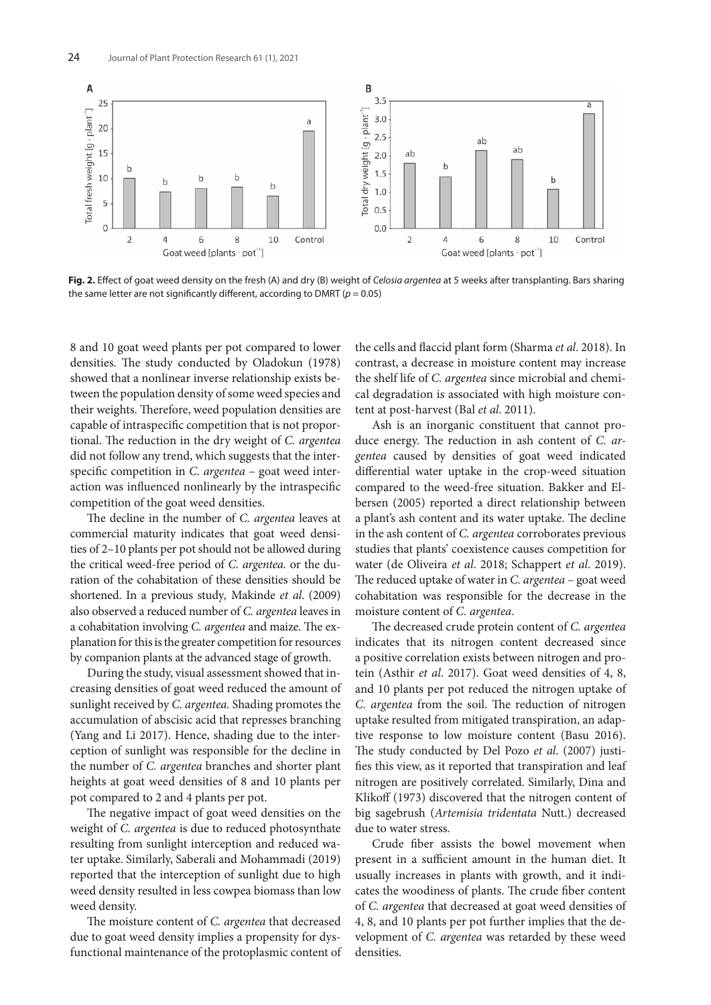

**Fig. 2.** Effect of goat weed density on the fresh (A) and dry (B) weight of *Celosia argentea* at 5 weeks after transplanting. Bars sharing the same letter are not significantly different, according to DMRT ( $p = 0.05$ )

8 and 10 goat weed plants per pot compared to lower densities. The study conducted by Oladokun (1978) showed that a nonlinear inverse relationship exists between the population density of some weed species and their weights. Therefore, weed population densities are capable of intraspecific competition that is not proportional. The reduction in the dry weight of *C. argentea* did not follow any trend, which suggests that the interspecific competition in *C. argentea* – goat weed interaction was influenced nonlinearly by the intraspecific competition of the goat weed densities.

The decline in the number of *C. argentea* leaves at commercial maturity indicates that goat weed densities of 2–10 plants per pot should not be allowed during the critical weed-free period of *C. argentea.* or the duration of the cohabitation of these densities should be shortened. In a previous study*,* Makinde *et al*. (2009) also observed a reduced number of *C. argentea* leaves in a cohabitation involving *C. argentea* and maize. The explanation for this is the greater competition for resources by companion plants at the advanced stage of growth.

During the study, visual assessment showed that increasing densities of goat weed reduced the amount of sunlight received by *C. argentea.* Shading promotes the accumulation of abscisic acid that represses branching (Yang and Li 2017). Hence, shading due to the interception of sunlight was responsible for the decline in the number of *C. argentea* branches and shorter plant heights at goat weed densities of 8 and 10 plants per pot compared to 2 and 4 plants per pot.

The negative impact of goat weed densities on the weight of *C. argentea* is due to reduced photosynthate resulting from sunlight interception and reduced water uptake. Similarly, Saberali and Mohammadi (2019) reported that the interception of sunlight due to high weed density resulted in less cowpea biomass than low weed density.

The moisture content of *C. argentea* that decreased due to goat weed density implies a propensity for dysfunctional maintenance of the protoplasmic content of the cells and flaccid plant form (Sharma *et al*. 2018). In contrast, a decrease in moisture content may increase the shelf life of *C. argentea* since microbial and chemical degradation is associated with high moisture content at post-harvest (Bal *et al*. 2011).

Ash is an inorganic constituent that cannot produce energy. The reduction in ash content of *C. argentea* caused by densities of goat weed indicated differential water uptake in the crop-weed situation compared to the weed-free situation. Bakker and Elbersen (2005) reported a direct relationship between a plant's ash content and its water uptake. The decline in the ash content of *C. argentea* corroborates previous studies that plants' coexistence causes competition for water (de Oliveira *et al*. 2018; Schappert *et al*. 2019). The reduced uptake of water in *C. argentea* – goat weed cohabitation was responsible for the decrease in the moisture content of *C. argentea*.

The decreased crude protein content of *C. argentea* indicates that its nitrogen content decreased since a positive correlation exists between nitrogen and protein (Asthir *et al*. 2017). Goat weed densities of 4, 8, and 10 plants per pot reduced the nitrogen uptake of *C. argentea* from the soil. The reduction of nitrogen uptake resulted from mitigated transpiration, an adaptive response to low moisture content (Basu 2016). The study conducted by Del Pozo *et al*. (2007) justifies this view, as it reported that transpiration and leaf nitrogen are positively correlated. Similarly, Dina and Klikoff (1973) discovered that the nitrogen content of big sagebrush (*Artemisia tridentata* Nutt.) decreased due to water stress.

Crude fiber assists the bowel movement when present in a sufficient amount in the human diet. It usually increases in plants with growth, and it indicates the woodiness of plants. The crude fiber content of *C. argentea* that decreased at goat weed densities of 4, 8, and 10 plants per pot further implies that the development of *C. argentea* was retarded by these weed densities.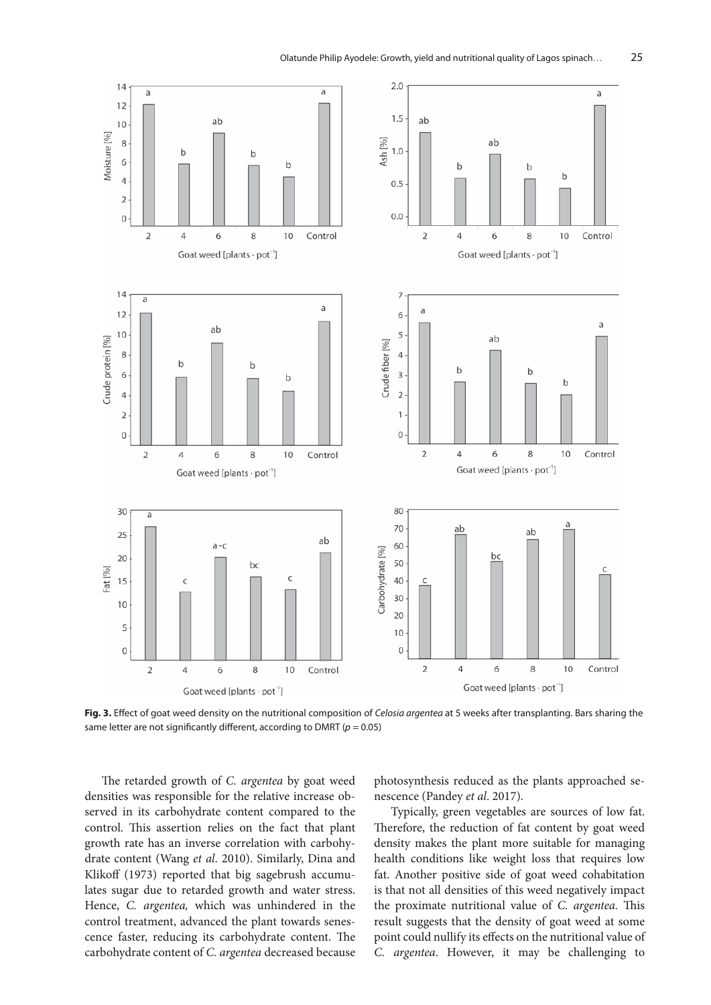

**Fig. 3.** Effect of goat weed density on the nutritional composition of *Celosia argentea* at 5 weeks after transplanting. Bars sharing the same letter are not significantly different, according to DMRT (*p* = 0.05)

The retarded growth of *C. argentea* by goat weed densities was responsible for the relative increase observed in its carbohydrate content compared to the control. This assertion relies on the fact that plant growth rate has an inverse correlation with carbohydrate content (Wang *et al*. 2010). Similarly, Dina and Klikoff (1973) reported that big sagebrush accumulates sugar due to retarded growth and water stress. Hence, *C. argentea,* which was unhindered in the control treatment, advanced the plant towards senescence faster, reducing its carbohydrate content. The carbohydrate content of *C. argentea* decreased because

photosynthesis reduced as the plants approached senescence (Pandey *et al*. 2017).

Typically, green vegetables are sources of low fat. Therefore, the reduction of fat content by goat weed density makes the plant more suitable for managing health conditions like weight loss that requires low fat. Another positive side of goat weed cohabitation is that not all densities of this weed negatively impact the proximate nutritional value of *C. argentea.* This result suggests that the density of goat weed at some point could nullify its effects on the nutritional value of *C. argentea*. However, it may be challenging to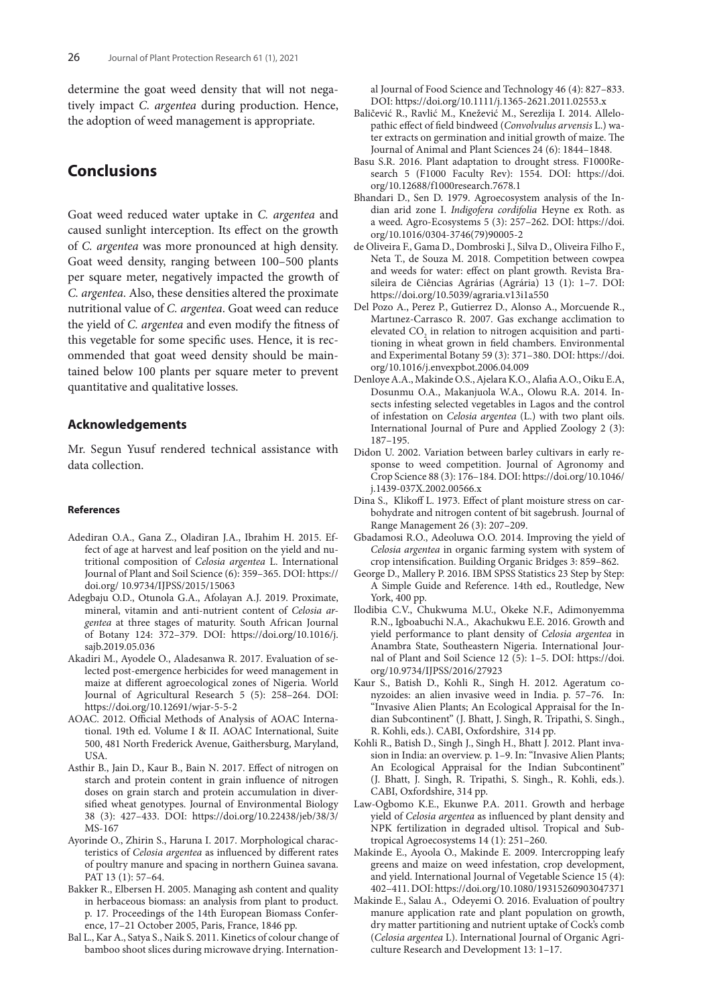determine the goat weed density that will not negatively impact *C. argentea* during production. Hence, the adoption of weed management is appropriate.

# **Conclusions**

Goat weed reduced water uptake in *C. argentea* and caused sunlight interception. Its effect on the growth of *C. argentea* was more pronounced at high density. Goat weed density, ranging between 100–500 plants per square meter, negatively impacted the growth of *C. argentea*. Also, these densities altered the proximate nutritional value of *C. argentea*. Goat weed can reduce the yield of *C. argentea* and even modify the fitness of this vegetable for some specific uses. Hence, it is recommended that goat weed density should be maintained below 100 plants per square meter to prevent quantitative and qualitative losses.

### **Acknowledgements**

Mr. Segun Yusuf rendered technical assistance with data collection.

#### **References**

- Adediran O.A., Gana Z., Oladiran J.A., Ibrahim H. 2015. Effect of age at harvest and leaf position on the yield and nutritional composition of *Celosia argentea* L. International Journal of Plant and Soil Science (6): 359–365. DOI: https:// doi.org/ 10.9734/IJPSS/2015/15063
- Adegbaju O.D., Otunola G.A., Afolayan A.J. 2019. Proximate, mineral, vitamin and anti-nutrient content of *Celosia argentea* at three stages of maturity. South African Journal of Botany 124: 372–379. DOI: https://doi.org/10.1016/j. sajb.2019.05.036
- Akadiri M., Ayodele O., Aladesanwa R. 2017. Evaluation of selected post-emergence herbicides for weed management in maize at different agroecological zones of Nigeria. World Journal of Agricultural Research 5 (5): 258–264. DOI: https://doi.org/10.12691/wjar-5-5-2
- AOAC. 2012. Official Methods of Analysis of AOAC International. 19th ed. Volume I & II. AOAC International, Suite 500, 481 North Frederick Avenue, Gaithersburg, Maryland, USA.
- Asthir B., Jain D., Kaur B., Bain N. 2017. Effect of nitrogen on starch and protein content in grain influence of nitrogen doses on grain starch and protein accumulation in diversified wheat genotypes. Journal of Environmental Biology 38 (3): 427–433. DOI: https://doi.org/10.22438/jeb/38/3/ MS-167
- Ayorinde O., Zhirin S., Haruna I. 2017. Morphological characteristics of *Celosia argentea* as influenced by different rates of poultry manure and spacing in northern Guinea savana. PAT 13 (1): 57-64.
- Bakker R., Elbersen H. 2005. Managing ash content and quality in herbaceous biomass: an analysis from plant to product. p. 17. Proceedings of the 14th European Biomass Conference, 17–21 October 2005, Paris, France, 1846 pp.
- Bal L., Kar A., Satya S., Naik S. 2011. Kinetics of colour change of bamboo shoot slices during microwave drying. Internation-

al Journal of Food Science and Technology 46 (4): 827–833. DOI: https://doi.org/10.1111/j.1365-2621.2011.02553.x

- Baličević R., Ravlić M., Knežević M., Serezlija I. 2014. Allelopathic effect of field bindweed (*Convolvulus arvensis* L.) water extracts on germination and initial growth of maize. The Journal of Animal and Plant Sciences 24 (6): 1844–1848.
- Basu S.R. 2016. Plant adaptation to drought stress. F1000Research 5 (F1000 Faculty Rev): 1554. DOI: https://doi. org/10.12688/f1000research.7678.1
- Bhandari D., Sen D. 1979. Agroecosystem analysis of the Indian arid zone I. *Indigofera cordifolia* Heyne ex Roth. as a weed. Agro-Ecosystems 5 (3): 257–262. DOI: https://doi. org/10.1016/0304-3746(79)90005-2
- de Oliveira F., Gama D., Dombroski J., Silva D., Oliveira Filho F., Neta T., de Souza M. 2018. Competition between cowpea and weeds for water: effect on plant growth. Revista Brasileira de Ciências Agrárias (Agrária) 13 (1): 1–7. DOI: https://doi.org/10.5039/agraria.v13i1a550
- Del Pozo A., Perez P., Gutierrez D., Alonso A., Morcuende R., Martınez-Carrasco R. 2007. Gas exchange acclimation to elevated CO<sub>2</sub> in relation to nitrogen acquisition and partitioning in wheat grown in field chambers. Environmental and Experimental Botany 59 (3): 371–380. DOI: https://doi. org/10.1016/j.envexpbot.2006.04.009
- Denloye A.A., Makinde O.S., Ajelara K.O., Alafia A.O., Oiku E.A, Dosunmu O.A., Makanjuola W.A., Olowu R.A. 2014. Insects infesting selected vegetables in Lagos and the control of infestation on *Celosia argentea* (L.) with two plant oils. International Journal of Pure and Applied Zoology 2 (3): 187–195.
- Didon U. 2002. Variation between barley cultivars in early response to weed competition. Journal of Agronomy and Crop Science 88 (3): 176–184. DOI: https://doi.org/10.1046/ j.1439-037X.2002.00566.x
- Dina S., Klikoff L. 1973. Effect of plant moisture stress on carbohydrate and nitrogen content of bit sagebrush. Journal of Range Management 26 (3): 207–209.
- Gbadamosi R.O., Adeoluwa O.O. 2014. Improving the yield of *Celosia argentea* in organic farming system with system of crop intensification. Building Organic Bridges 3: 859–862.
- George D., Mallery P. 2016. IBM SPSS Statistics 23 Step by Step: A Simple Guide and Reference. 14th ed., Routledge, New York, 400 pp.
- Ilodibia C.V., Chukwuma M.U., Okeke N.F., Adimonyemma R.N., Igboabuchi N.A., Akachukwu E.E. 2016. Growth and yield performance to plant density of *Celosia argentea* in Anambra State, Southeastern Nigeria. International Journal of Plant and Soil Science 12 (5): 1–5. DOI: https://doi. org/10.9734/IJPSS/2016/27923
- Kaur S., Batish D., Kohli R., Singh H. 2012. Ageratum conyzoides: an alien invasive weed in India. p. 57–76. In: "Invasive Alien Plants; An Ecological Appraisal for the Indian Subcontinent" (J. Bhatt, J. Singh, R. Tripathi, S. Singh., R. Kohli, eds.). CABI, Oxfordshire, 314 pp.
- Kohli R., Batish D., Singh J., Singh H., Bhatt J. 2012. Plant invasion in India: an overview. p. 1–9. In: "Invasive Alien Plants; An Ecological Appraisal for the Indian Subcontinent" (J. Bhatt, J. Singh, R. Tripathi, S. Singh., R. Kohli, eds.). CABI, Oxfordshire, 314 pp.
- Law-Ogbomo K.E., Ekunwe P.A. 2011. Growth and herbage yield of *Celosia argentea* as influenced by plant density and NPK fertilization in degraded ultisol. Tropical and Subtropical Agroecosystems 14 (1): 251–260.
- Makinde E., Ayoola O., Makinde E. 2009. Intercropping leafy greens and maize on weed infestation, crop development, and yield. International Journal of Vegetable Science 15 (4): 402–411. DOI: https://doi.org/10.1080/19315260903047371
- Makinde E., Salau A., Odeyemi O. 2016. Evaluation of poultry manure application rate and plant population on growth, dry matter partitioning and nutrient uptake of Cock's comb (*Celosia argentea* L). International Journal of Organic Agriculture Research and Development 13: 1–17.